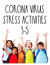# CORONA VIRUS STRESS ACTIVITIES 3-5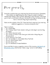Dear parents,

During this uncertain time, your child may feel stressed and anxious. Remember, most children are likely feeling this even if they are unable to identify or verbalize their feelings. Stress presents differently in each individual. I encourage you to start a conversation with your child about how they are feeling and any fears or stressors they may be experiencing.

Below are the contents of this PDF. Please feel free to email me if you need any additional suggestions or resources during this time.

Table of contents:

- Pg 1: Parent letter
- Pg 2: Feelings Check Poster (check-in with your child daily to see how they are feeling)
- Pg 3: Stress discussion cards
- Pg 4: Circles of Control Poster (have your child write in things they are stressed about)
- Pg 5-6: Stressors Flow Chart
- Pg 7-12: Avoidable Vs. Unavoidable Stress Flip Book
- Pg 13-14: Stress Buster Cards
- Pg 15-16: Stress Plan
- Pg 17-19: Mindfulness Guided Meditation

If you would like to access a paperless version of this resource, click here to do the activities online. Click the blue "make a copy" version to start editing.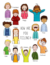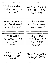What is something that stresses you out a lot? What is something you feel stressed about at school? What is something you feel stressed about at home? What coping strategies do you use to help your stress? Do you have someone to talk to when you feel stressed? Do your current coping strategies work? Name 3 things that cause you stress. What is something that stresses you out a little?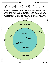## What are circles of control?

Circles of Control help us understand what is in our control and what is out of our control. Both can cause us stress so it is important to know what we are in charge of and what we need to let go. The things on the outside circle are things we are not in control of. The things on the inside circle are things we are in control of. What could you add to these circles?

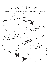## Stressors flow chart

Instructions: Complete the flow chart to identify your stressors, the cause of your stressors, and current coping strategies.

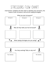## Stressors flow chart

Instructions: Complete the flow chart to identify your stressors, the cause of your stressors, and current coping strategies.

What are your stressors? Stressor 1 | Stressor 2 | Stressor 3 Why do they make you feel stressed? 组 ← What coping strategies are you using?

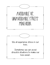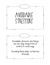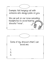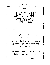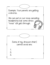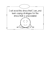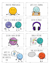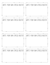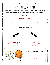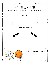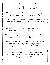## What is mindfulness?

Mindfulness is paying full attention to something. It means slowing down to really notice what you're doing.

Being mindful is the opposite of rushing or multitasking. When you're mindful, you're taking your time. You're focusing in a relaxed, easy way.

One way you can practice mindfulness is by sitting still, closing your eyes, and observing your breath.

When you count your breaths and focus on breathing in and out, your other thoughts drift away.

Sometimes while practicing mindfulness we may get distracted. This is okay. Notice that your mind is wandering and bring your focus and thoughts back to your breath.

Mindfulness helps lower your stress, improve your attention, and relax your body. It is part of keeping your body and brain healthy!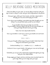## BELLY BREATHING GUIDED MEDITATION

I restant and come in the groun comp. Then be can be crown by on the noon thing our legs crossed or sitting in a chair with your feet firmly planted to the ground. Icebreaker! Relax and settle in to your seat. You can be sitting on the floor with your

Close your eyes, soften your face muscles, and take a deep breath in through your nose and out through your mouth.

Focus only on your breathing. Leave behind any other thoughts you are having. You can pick them back up when we are finished.

As you breathe notice how your belly rises and falls. As you breathe in feel your belly fill up with air and as you breathe out notice your belly fall back towards your body.

Take a few more deep breaths like this.

Now as you breathe in count up to 3 and as you breathe out count down from 3.

1, 2, 3… 3, 2, 1…

Have your thoughts drifted away from your breath? Watch them float away and come back to your breath.

Continue breathing 1, 2, 3… breathe in 3, 2, 1… breathe out

Continue to focus on your breath, in through your nose and out through your mouth.

Remember you can go to this relaxed place anytime throughout your day with just a few simple breaths.

Slowly wiggle your fingers and toes and bring some movement back into your body. When you are ready, open your eyes.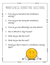### Mindfulness Debriefing Questions

- 1. How did you feel before the mindfulness activity?
- 2. How did you feel during the mindfulness activity?
- 3. How do you feel differently now than before?
- 4. Was it difficult to stay focused?
- 5. What did you like the most?
- 6. What did you like the least?
- 7. Would you like to listen to a mindfulness activity again?

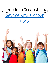# If you love this activity, get the entire group here.

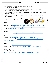Copyright © Bright Futures Counseling All rights reserved

- Thank you for downloading!
- This product is for personal use only. Reproduction of this printable for commercial use as a part or whole is prohibited.
- This product may not be posted online, displayed, or shared electronically and/or digitally in any way.
- If you'd like to share it, please post a link where others can download directly from my store.
- You may not edit and resell this product.
- Thank you for your support!



#### **Credits**

#### Fonts:

Robyn Hyndman https://www.teacherspayteachers.com/Store/Robyn-Hyndman Joanne Hewitt https://www.etsy.com/shop/AquariusLogos?ref=l2-about-shopname Hungry JPEG https://thehungryjpeg.com/

#### Borders:

Wild About Firsties https://www.teacherspayteachers.com/Store/Jessica-Travis

Clipart:

Educlips https://www.teacherspayteachers.com/Store/Educlips Sarah Pecorino Illustration https://www.teacherspayteachers.com/Store/Sarah-Pecorino-Illustration

#### Photos:

Deposit Photos https://depositphotos.com/image.html Stephanie - Blair Creative Co. https://www.instagram.com/blaircreativeco/

THANK YOU! Rachel Davis (Bright Futures Counseling) https://www.teacherspayteachers.com/Store/Bright-Futures-Counseling